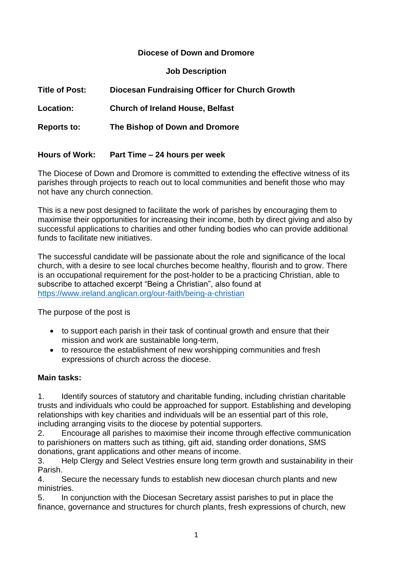### **Diocese of Down and Dromore**

#### **Job Description**

| <b>Title of Post:</b> | Diocesan Fundraising Officer for Church Growth |
|-----------------------|------------------------------------------------|
| Location:             | <b>Church of Ireland House, Belfast</b>        |
| <b>Reports to:</b>    | The Bishop of Down and Dromore                 |
| <b>Hours of Work:</b> | Part Time – 24 hours per week                  |

The Diocese of Down and Dromore is committed to extending the effective witness of its parishes through projects to reach out to local communities and benefit those who may not have any church connection.

This is a new post designed to facilitate the work of parishes by encouraging them to maximise their opportunities for increasing their income, both by direct giving and also by successful applications to charities and other funding bodies who can provide additional funds to facilitate new initiatives.

The successful candidate will be passionate about the role and significance of the local church, with a desire to see local churches become healthy, flourish and to grow. There is an occupational requirement for the post-holder to be a practicing Christian, able to subscribe to attached excerpt "Being a Christian", also found at <https://www.ireland.anglican.org/our-faith/being-a-christian>

The purpose of the post is

- to support each parish in their task of continual growth and ensure that their mission and work are sustainable long-term,
- to resource the establishment of new worshipping communities and fresh expressions of church across the diocese.

## **Main tasks:**

1. Identify sources of statutory and charitable funding, including christian charitable trusts and individuals who could be approached for support. Establishing and developing relationships with key charities and individuals will be an essential part of this role, including arranging visits to the diocese by potential supporters.

2. Encourage all parishes to maximise their income through effective communication to parishioners on matters such as tithing, gift aid, standing order donations, SMS donations, grant applications and other means of income.

3. Help Clergy and Select Vestries ensure long term growth and sustainability in their Parish.

4. Secure the necessary funds to establish new diocesan church plants and new ministries.

5. In conjunction with the Diocesan Secretary assist parishes to put in place the finance, governance and structures for church plants, fresh expressions of church, new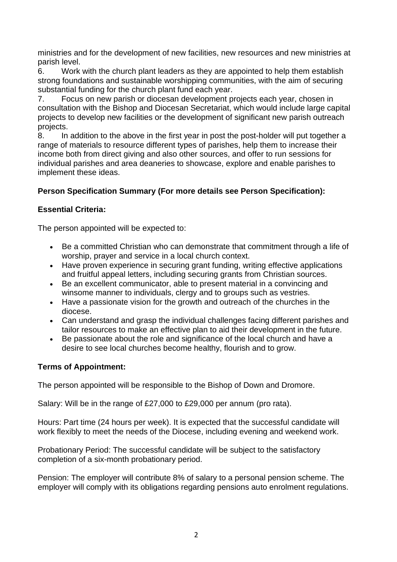ministries and for the development of new facilities, new resources and new ministries at parish level.

6. Work with the church plant leaders as they are appointed to help them establish strong foundations and sustainable worshipping communities, with the aim of securing substantial funding for the church plant fund each year.

7. Focus on new parish or diocesan development projects each year, chosen in consultation with the Bishop and Diocesan Secretariat, which would include large capital projects to develop new facilities or the development of significant new parish outreach projects.

8. In addition to the above in the first year in post the post-holder will put together a range of materials to resource different types of parishes, help them to increase their income both from direct giving and also other sources, and offer to run sessions for individual parishes and area deaneries to showcase, explore and enable parishes to implement these ideas.

# **Person Specification Summary (For more details see Person Specification):**

## **Essential Criteria:**

The person appointed will be expected to:

- Be a committed Christian who can demonstrate that commitment through a life of worship, prayer and service in a local church context.
- Have proven experience in securing grant funding, writing effective applications and fruitful appeal letters, including securing grants from Christian sources.
- Be an excellent communicator, able to present material in a convincing and winsome manner to individuals, clergy and to groups such as vestries.
- Have a passionate vision for the growth and outreach of the churches in the diocese.
- Can understand and grasp the individual challenges facing different parishes and tailor resources to make an effective plan to aid their development in the future.
- Be passionate about the role and significance of the local church and have a desire to see local churches become healthy, flourish and to grow.

## **Terms of Appointment:**

The person appointed will be responsible to the Bishop of Down and Dromore.

Salary: Will be in the range of £27,000 to £29,000 per annum (pro rata).

Hours: Part time (24 hours per week). It is expected that the successful candidate will work flexibly to meet the needs of the Diocese, including evening and weekend work.

Probationary Period: The successful candidate will be subject to the satisfactory completion of a six-month probationary period.

Pension: The employer will contribute 8% of salary to a personal pension scheme. The employer will comply with its obligations regarding pensions auto enrolment regulations.